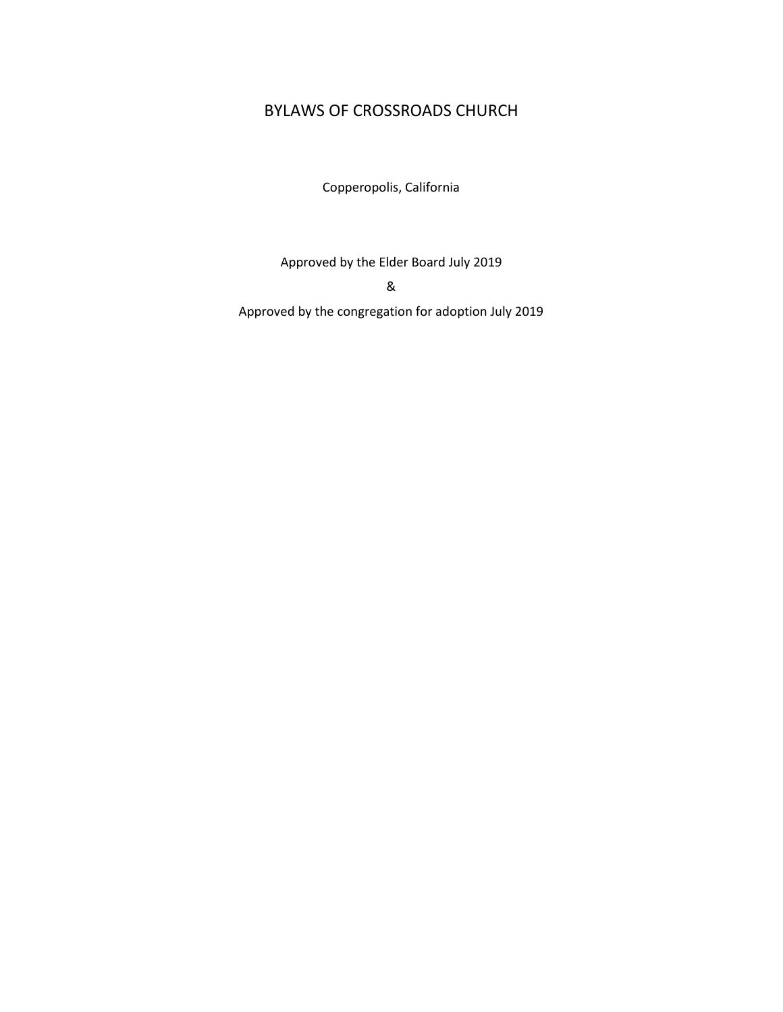# BYLAWS OF CROSSROADS CHURCH

Copperopolis, California

Approved by the Elder Board July 2019

&

Approved by the congregation for adoption July 2019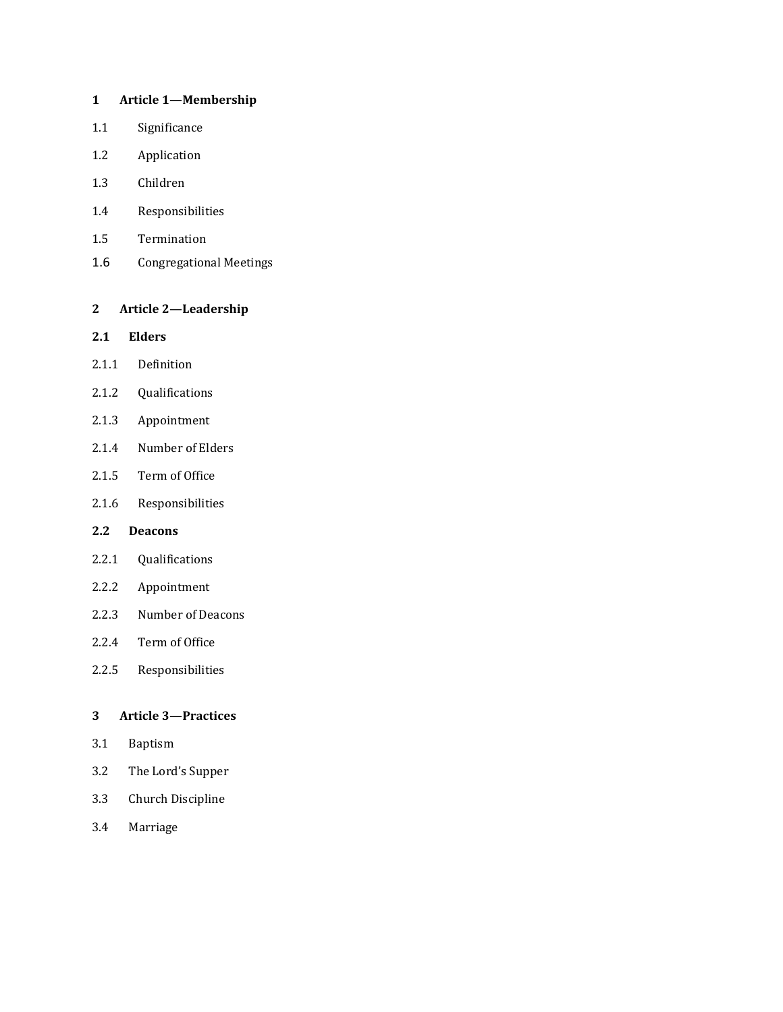#### **1 Article 1—Membership**

- 1.1 Significance
- 1.2 Application
- 1.3 Children
- 1.4 Responsibilities
- 1.5 Termination
- 1.6 Congregational Meetings

#### **2 Article 2—Leadership**

#### **2.1 Elders**

- 2.1.1 Definition
- 2.1.2 Qualifications
- 2.1.3 Appointment
- 2.1.4 Number of Elders
- 2.1.5 Term of Office
- 2.1.6 Responsibilities

#### **2.2 Deacons**

- 2.2.1 Qualifications
- 2.2.2 Appointment
- 2.2.3 Number of Deacons
- 2.2.4 Term of Office
- 2.2.5 Responsibilities

#### **3 Article 3—Practices**

- 3.1 Baptism
- 3.2 The Lord's Supper
- 3.3 Church Discipline
- 3.4 Marriage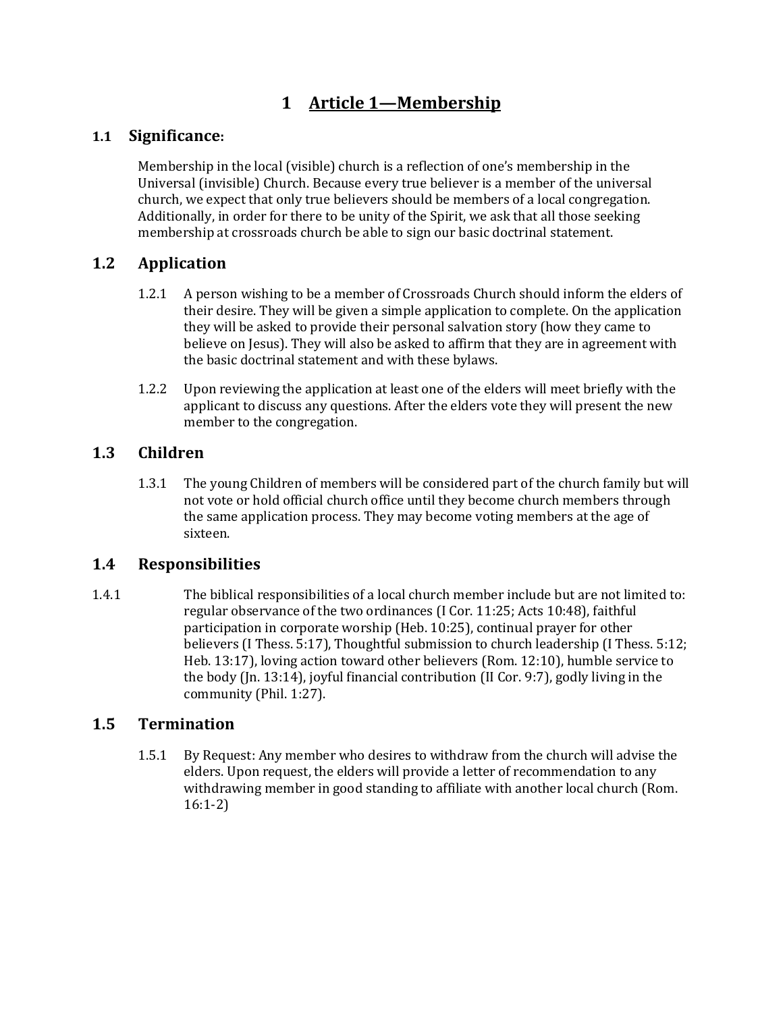# **1 Article 1—Membership**

### **1.1 Significance:**

Membership in the local (visible) church is a reflection of one's membership in the Universal (invisible) Church. Because every true believer is a member of the universal church, we expect that only true believers should be members of a local congregation. Additionally, in order for there to be unity of the Spirit, we ask that all those seeking membership at crossroads church be able to sign our basic doctrinal statement.

# **1.2 Application**

- 1.2.1 A person wishing to be a member of Crossroads Church should inform the elders of their desire. They will be given a simple application to complete. On the application they will be asked to provide their personal salvation story (how they came to believe on Jesus). They will also be asked to affirm that they are in agreement with the basic doctrinal statement and with these bylaws.
- 1.2.2 Upon reviewing the application at least one of the elders will meet briefly with the applicant to discuss any questions. After the elders vote they will present the new member to the congregation.

## **1.3 Children**

1.3.1 The young Children of members will be considered part of the church family but will not vote or hold official church office until they become church members through the same application process. They may become voting members at the age of sixteen.

### **1.4 Responsibilities**

1.4.1 The biblical responsibilities of a local church member include but are not limited to: regular observance of the two ordinances (I Cor. 11:25; Acts 10:48), faithful participation in corporate worship (Heb. 10:25), continual prayer for other believers (I Thess. 5:17), Thoughtful submission to church leadership (I Thess. 5:12; Heb. 13:17), loving action toward other believers (Rom. 12:10), humble service to the body (Jn. 13:14), joyful financial contribution (II Cor. 9:7), godly living in the community (Phil. 1:27).

### **1.5 Termination**

1.5.1 By Request: Any member who desires to withdraw from the church will advise the elders. Upon request, the elders will provide a letter of recommendation to any withdrawing member in good standing to affiliate with another local church (Rom. 16:1-2)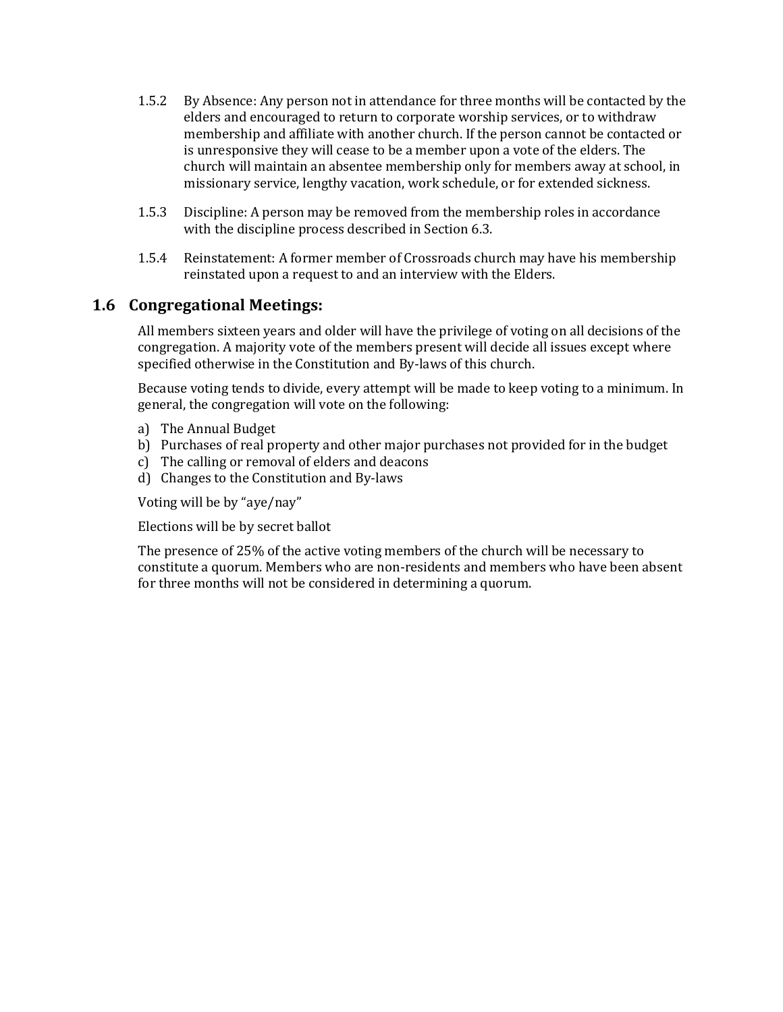- 1.5.2 By Absence: Any person not in attendance for three months will be contacted by the elders and encouraged to return to corporate worship services, or to withdraw membership and affiliate with another church. If the person cannot be contacted or is unresponsive they will cease to be a member upon a vote of the elders. The church will maintain an absentee membership only for members away at school, in missionary service, lengthy vacation, work schedule, or for extended sickness.
- 1.5.3 Discipline: A person may be removed from the membership roles in accordance with the discipline process described in Section 6.3.
- 1.5.4 Reinstatement: A former member of Crossroads church may have his membership reinstated upon a request to and an interview with the Elders.

### **1.6 Congregational Meetings:**

All members sixteen years and older will have the privilege of voting on all decisions of the congregation. A majority vote of the members present will decide all issues except where specified otherwise in the Constitution and By-laws of this church.

Because voting tends to divide, every attempt will be made to keep voting to a minimum. In general, the congregation will vote on the following:

- a) The Annual Budget
- b) Purchases of real property and other major purchases not provided for in the budget
- c) The calling or removal of elders and deacons
- d) Changes to the Constitution and By-laws

Voting will be by "aye/nay"

Elections will be by secret ballot

The presence of 25% of the active voting members of the church will be necessary to constitute a quorum. Members who are non-residents and members who have been absent for three months will not be considered in determining a quorum.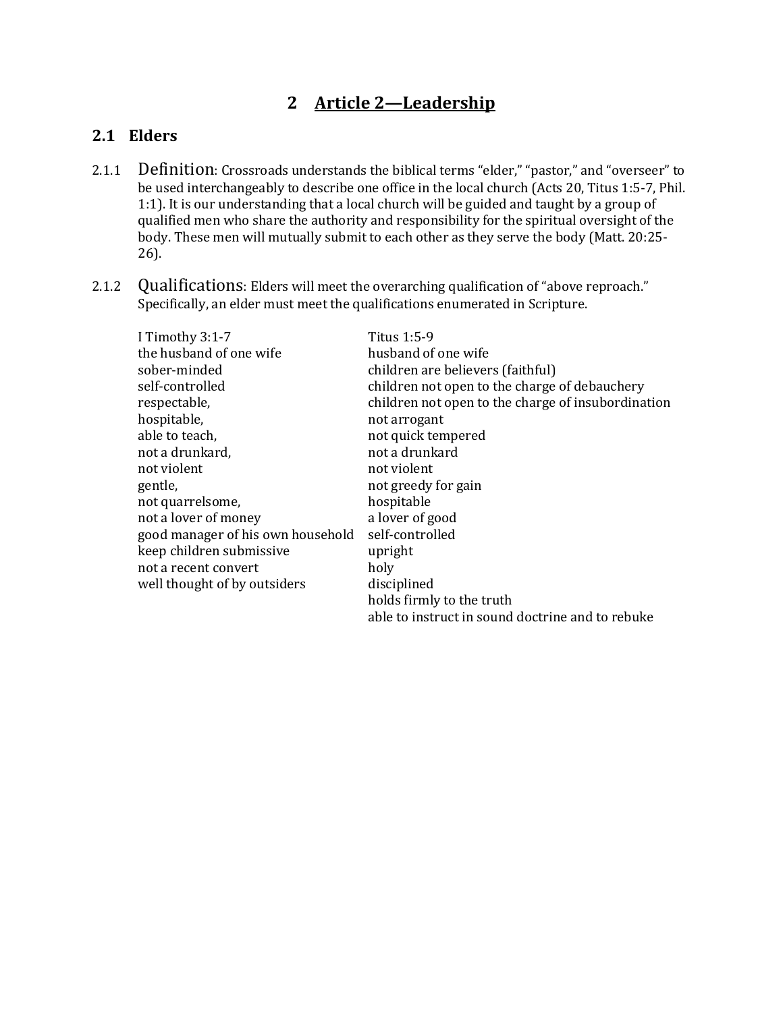# **2 Article 2—Leadership**

## **2.1 Elders**

- 2.1.1 Definition: Crossroads understands the biblical terms "elder," "pastor," and "overseer" to be used interchangeably to describe one office in the local church (Acts 20, Titus 1:5-7, Phil. 1:1). It is our understanding that a local church will be guided and taught by a group of qualified men who share the authority and responsibility for the spiritual oversight of the body. These men will mutually submit to each other as they serve the body (Matt. 20:25- 26).
- 2.1.2 Qualifications: Elders will meet the overarching qualification of "above reproach." Specifically, an elder must meet the qualifications enumerated in Scripture.

| I Timothy 3:1-7                   | Titus 1:5-9                                        |
|-----------------------------------|----------------------------------------------------|
| the husband of one wife           | husband of one wife                                |
| sober-minded                      | children are believers (faithful)                  |
| self-controlled                   | children not open to the charge of debauchery      |
| respectable,                      | children not open to the charge of insubordination |
| hospitable,                       | not arrogant                                       |
| able to teach,                    | not quick tempered                                 |
| not a drunkard,                   | not a drunkard                                     |
| not violent                       | not violent                                        |
| gentle,                           | not greedy for gain                                |
| not quarrelsome,                  | hospitable                                         |
| not a lover of money              | a lover of good                                    |
| good manager of his own household | self-controlled                                    |
| keep children submissive          | upright                                            |
| not a recent convert              | holy                                               |
| well thought of by outsiders      | disciplined                                        |
|                                   | holds firmly to the truth                          |
|                                   | able to instruct in sound doctrine and to rebuke   |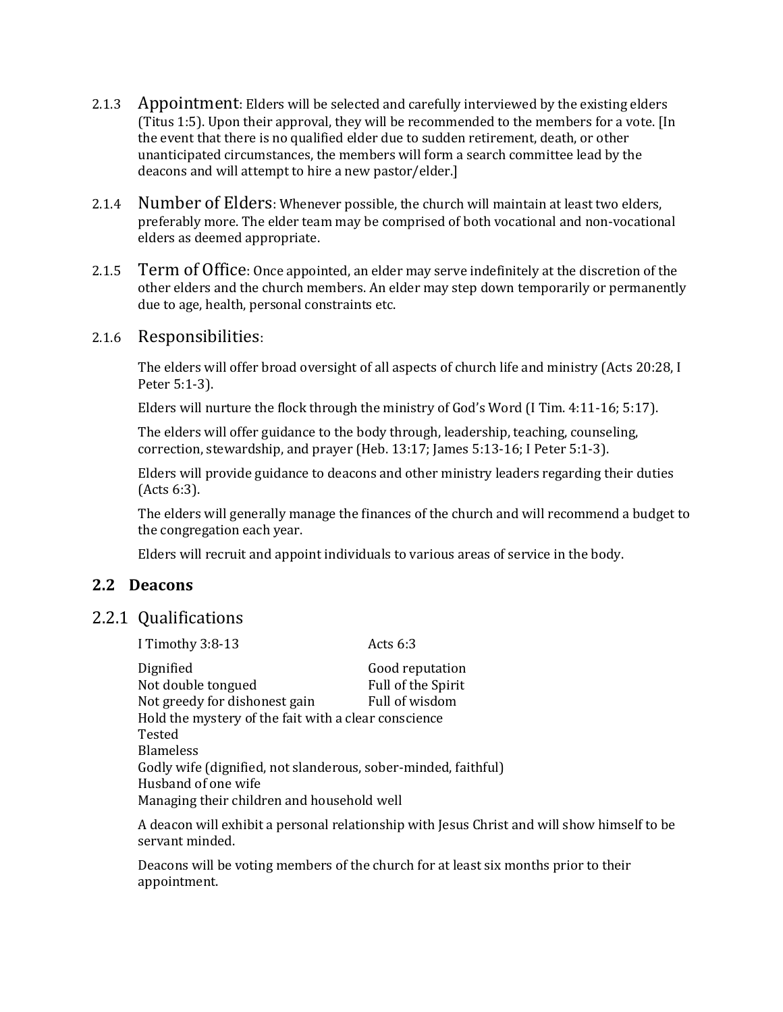- 2.1.3 Appointment: Elders will be selected and carefully interviewed by the existing elders (Titus 1:5). Upon their approval, they will be recommended to the members for a vote. [In the event that there is no qualified elder due to sudden retirement, death, or other unanticipated circumstances, the members will form a search committee lead by the deacons and will attempt to hire a new pastor/elder.]
- 2.1.4 Number of Elders: Whenever possible, the church will maintain at least two elders, preferably more. The elder team may be comprised of both vocational and non-vocational elders as deemed appropriate.
- 2.1.5 Term of Office: Once appointed, an elder may serve indefinitely at the discretion of the other elders and the church members. An elder may step down temporarily or permanently due to age, health, personal constraints etc.

#### 2.1.6 Responsibilities:

The elders will offer broad oversight of all aspects of church life and ministry (Acts 20:28, I Peter 5:1-3).

Elders will nurture the flock through the ministry of God's Word (I Tim. 4:11-16; 5:17).

The elders will offer guidance to the body through, leadership, teaching, counseling, correction, stewardship, and prayer (Heb. 13:17; James 5:13-16; I Peter 5:1-3).

Elders will provide guidance to deacons and other ministry leaders regarding their duties (Acts 6:3).

The elders will generally manage the finances of the church and will recommend a budget to the congregation each year.

Elders will recruit and appoint individuals to various areas of service in the body.

### **2.2 Deacons**

# 2.2.1 Qualifications

| I Timothy 3:8-13                                               | Acts $6:3$         |  |
|----------------------------------------------------------------|--------------------|--|
| Dignified                                                      | Good reputation    |  |
| Not double tongued                                             | Full of the Spirit |  |
| Not greedy for dishonest gain                                  | Full of wisdom     |  |
| Hold the mystery of the fait with a clear conscience           |                    |  |
| Tested                                                         |                    |  |
| <b>Blameless</b>                                               |                    |  |
| Godly wife (dignified, not slanderous, sober-minded, faithful) |                    |  |
| Husband of one wife                                            |                    |  |
| Managing their children and household well                     |                    |  |

A deacon will exhibit a personal relationship with Jesus Christ and will show himself to be servant minded.

Deacons will be voting members of the church for at least six months prior to their appointment.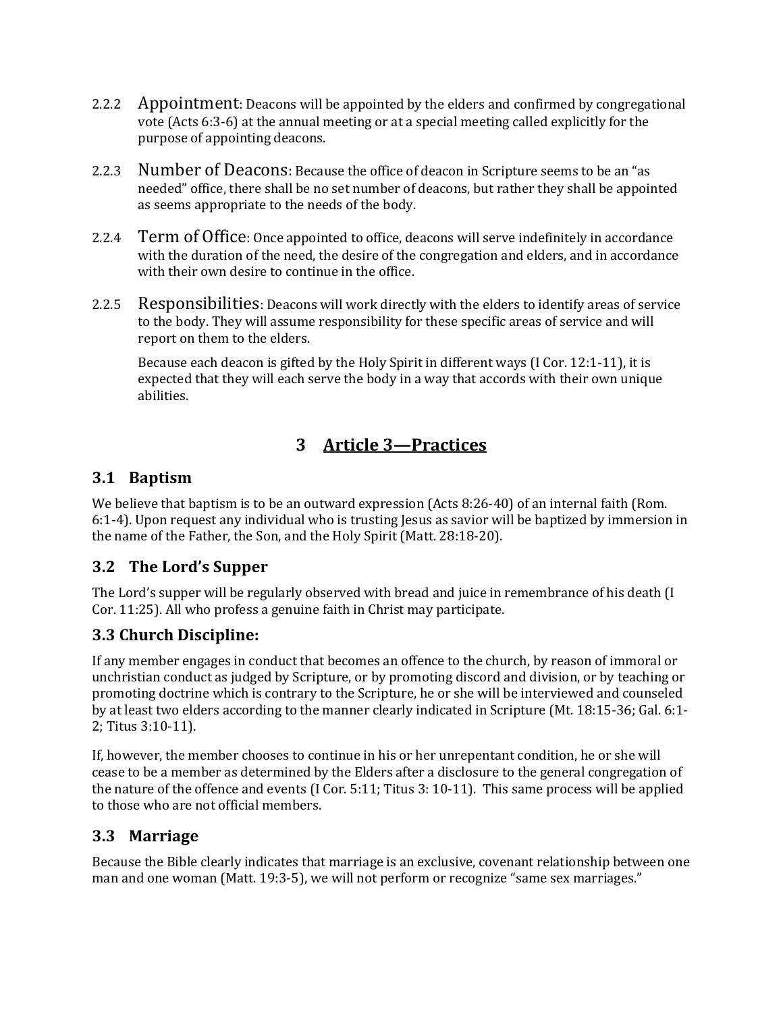- 2.2.2 Appointment: Deacons will be appointed by the elders and confirmed by congregational vote (Acts 6:3-6) at the annual meeting or at a special meeting called explicitly for the purpose of appointing deacons.
- 2.2.3 Number of Deacons: Because the office of deacon in Scripture seems to be an "as needed" office, there shall be no set number of deacons, but rather they shall be appointed as seems appropriate to the needs of the body.
- 2.2.4 Term of Office: Once appointed to office, deacons will serve indefinitely in accordance with the duration of the need, the desire of the congregation and elders, and in accordance with their own desire to continue in the office.
- 2.2.5 Responsibilities: Deacons will work directly with the elders to identify areas of service to the body. They will assume responsibility for these specific areas of service and will report on them to the elders.

Because each deacon is gifted by the Holy Spirit in different ways (I Cor. 12:1-11), it is expected that they will each serve the body in a way that accords with their own unique abilities.

# **3 Article 3—Practices**

# **3.1 Baptism**

We believe that baptism is to be an outward expression (Acts 8:26-40) of an internal faith (Rom. 6:1-4). Upon request any individual who is trusting Jesus as savior will be baptized by immersion in the name of the Father, the Son, and the Holy Spirit (Matt. 28:18-20).

# **3.2 The Lord's Supper**

The Lord's supper will be regularly observed with bread and juice in remembrance of his death (I Cor. 11:25). All who profess a genuine faith in Christ may participate.

# **3.3 Church Discipline:**

If any member engages in conduct that becomes an offence to the church, by reason of immoral or unchristian conduct as judged by Scripture, or by promoting discord and division, or by teaching or promoting doctrine which is contrary to the Scripture, he or she will be interviewed and counseled by at least two elders according to the manner clearly indicated in Scripture (Mt. 18:15-36; Gal. 6:1- 2; Titus 3:10-11).

If, however, the member chooses to continue in his or her unrepentant condition, he or she will cease to be a member as determined by the Elders after a disclosure to the general congregation of the nature of the offence and events (I Cor. 5:11; Titus 3: 10-11). This same process will be applied to those who are not official members.

# **3.3 Marriage**

Because the Bible clearly indicates that marriage is an exclusive, covenant relationship between one man and one woman (Matt. 19:3-5), we will not perform or recognize "same sex marriages."